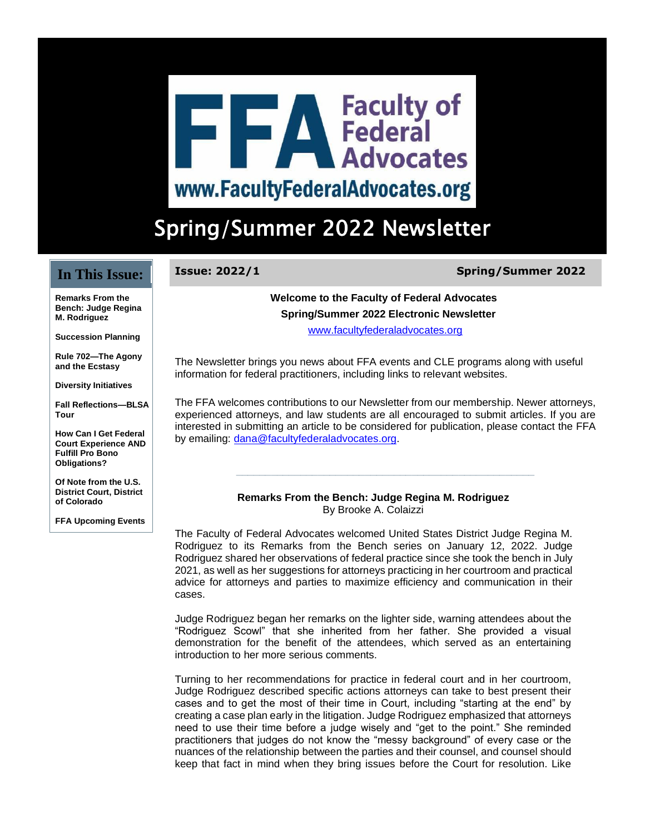# **THE A Faculty of<br>THE Advocates** www.FacultyFederalAdvocates.org

## Spring/Summer 2022 Newsletter

#### **In This Issue:**

## **Issue: 2022/1 Spring/Summer 2022**

**Remarks From the Bench: Judge Regina M. Rodriguez**

**Succession Planning**

**Rule 702—The Agony and the Ecstasy**

**Diversity Initiatives**

**Fall Reflections—BLSA Tour**

**How Can I Get Federal Court Experience AND Fulfill Pro Bono Obligations?**

**Of Note from the U.S. District Court, District of Colorado**

**FFA Upcoming Events**

#### **Welcome to the Faculty of Federal Advocates Spring/Summer 2022 Electronic Newsletter**

[www.facultyfederaladvocates.org](http://r20.rs6.net/tn.jsp?f=001z9tZg0nCULmYCVz73p3-xAR9moP0_0NmFtRc6-ANeR06lpou4VBLpGcz1iwng1hJYzXf5Mody-bmIgWMdZntxFy0MyVQgL7eztlBMaptoUUyNBO97aZhItiT58A0VEcQLhxMOYKQTMsv6GAahsQeeYaSF1p4aRbguurPUHHBW-q0cbGPxi8bvfAFQdJtb0lm&c=tID4TZ_X7a5iPAVyXTDoqA6-I0Oqc5ET6QqG5AY9Jy7CZMWTaO6_7w==&ch=y-DzzmxaKG-aDEWYsUzH7SOYjhknLbi1Qrvfo1_lGhy0J7p4BOvvJA==)

The Newsletter brings you news about FFA events and CLE programs along with useful information for federal practitioners, including links to relevant websites.

The FFA welcomes contributions to our Newsletter from our membership. Newer attorneys, experienced attorneys, and law students are all encouraged to submit articles. If you are interested in submitting an article to be considered for publication, please contact the FFA by emailing: [dana@facultyfederaladvocates.org.](mailto:dana@facultyfederaladvocates.org)

**\_\_\_\_\_\_\_\_\_\_\_\_\_\_\_\_\_\_\_\_\_\_\_\_\_\_\_\_\_\_\_\_\_\_\_\_\_\_\_\_\_\_\_\_\_\_\_\_\_\_\_**

#### **Remarks From the Bench: Judge Regina M. Rodriguez** By Brooke A. Colaizzi

The Faculty of Federal Advocates welcomed United States District Judge Regina M. Rodriguez to its Remarks from the Bench series on January 12, 2022. Judge Rodriguez shared her observations of federal practice since she took the bench in July 2021, as well as her suggestions for attorneys practicing in her courtroom and practical advice for attorneys and parties to maximize efficiency and communication in their cases.

Judge Rodriguez began her remarks on the lighter side, warning attendees about the "Rodriguez Scowl" that she inherited from her father. She provided a visual demonstration for the benefit of the attendees, which served as an entertaining introduction to her more serious comments.

Turning to her recommendations for practice in federal court and in her courtroom, Judge Rodriguez described specific actions attorneys can take to best present their cases and to get the most of their time in Court, including "starting at the end" by creating a case plan early in the litigation. Judge Rodriguez emphasized that attorneys need to use their time before a judge wisely and "get to the point." She reminded practitioners that judges do not know the "messy background" of every case or the nuances of the relationship between the parties and their counsel, and counsel should keep that fact in mind when they bring issues before the Court for resolution. Like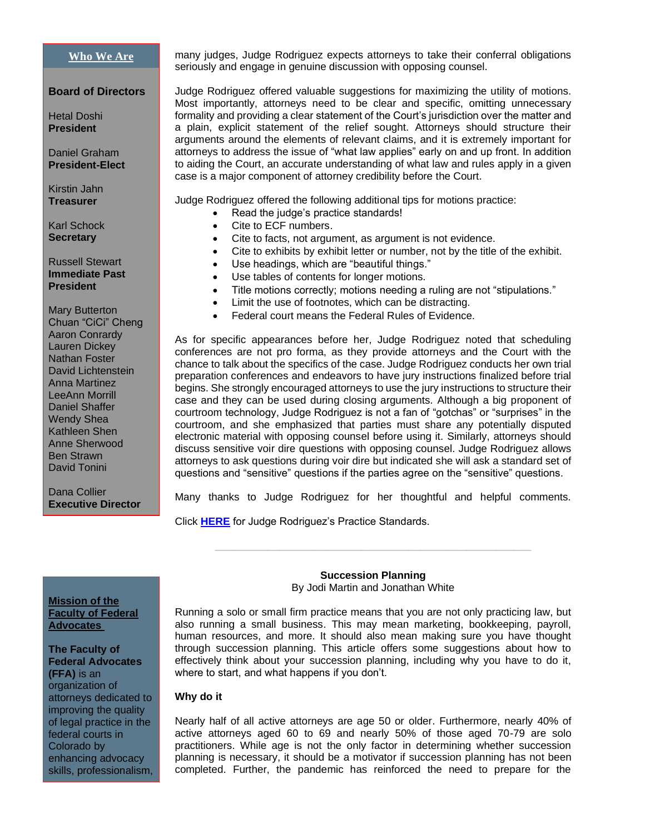#### **[Who We Are](https://www.facultyfederaladvocates.org/)**

#### **Board of Directors**

Hetal Doshi **President**

Daniel Graham **President-Elect**

Kirstin Jahn **Treasurer**

Karl Schock **Secretary**

Russell Stewart **Immediate Past President**

Mary Butterton Chuan "CiCi" Cheng Aaron Conrardy Lauren Dickey Nathan Foster David Lichtenstein Anna Martinez LeeAnn Morrill Daniel Shaffer Wendy Shea Kathleen Shen Anne Sherwood Ben Strawn David Tonini

Dana Collier **Executive Director** many judges, Judge Rodriguez expects attorneys to take their conferral obligations seriously and engage in genuine discussion with opposing counsel.

Judge Rodriguez offered valuable suggestions for maximizing the utility of motions. Most importantly, attorneys need to be clear and specific, omitting unnecessary formality and providing a clear statement of the Court's jurisdiction over the matter and a plain, explicit statement of the relief sought. Attorneys should structure their arguments around the elements of relevant claims, and it is extremely important for attorneys to address the issue of "what law applies" early on and up front. In addition to aiding the Court, an accurate understanding of what law and rules apply in a given case is a major component of attorney credibility before the Court.

Judge Rodriguez offered the following additional tips for motions practice:

- Read the judge's practice standards!
- Cite to ECF numbers.
- Cite to facts, not argument, as argument is not evidence.
- Cite to exhibits by exhibit letter or number, not by the title of the exhibit.
- Use headings, which are "beautiful things."
- Use tables of contents for longer motions.
- Title motions correctly; motions needing a ruling are not "stipulations."
- Limit the use of footnotes, which can be distracting.
- Federal court means the Federal Rules of Evidence.

As for specific appearances before her, Judge Rodriguez noted that scheduling conferences are not pro forma, as they provide attorneys and the Court with the chance to talk about the specifics of the case. Judge Rodriguez conducts her own trial preparation conferences and endeavors to have jury instructions finalized before trial begins. She strongly encouraged attorneys to use the jury instructions to structure their case and they can be used during closing arguments. Although a big proponent of courtroom technology, Judge Rodriguez is not a fan of "gotchas" or "surprises" in the courtroom, and she emphasized that parties must share any potentially disputed electronic material with opposing counsel before using it. Similarly, attorneys should discuss sensitive voir dire questions with opposing counsel. Judge Rodriguez allows attorneys to ask questions during voir dire but indicated she will ask a standard set of questions and "sensitive" questions if the parties agree on the "sensitive" questions.

Many thanks to Judge Rodriguez for her thoughtful and helpful comments.

Click **[HERE](http://www.cod.uscourts.gov/JudicialOfficers/ActiveArticleIIIJudges/HonReginaMRodriguez.aspx)** for Judge Rodriguez's Practice Standards.

#### **Mission of the Faculty of Federal Advocates**

**The Faculty of Federal Advocates (FFA)** is an organization of attorneys dedicated to improving the quality of legal practice in the federal courts in Colorado by enhancing advocacy skills, professionalism,

#### **Succession Planning** By Jodi Martin and Jonathan White

**\_\_\_\_\_\_\_\_\_\_\_\_\_\_\_\_\_\_\_\_\_\_\_\_\_\_\_\_\_\_\_\_\_\_\_\_\_\_\_\_\_\_\_\_\_\_\_\_\_\_\_\_\_\_**

Running a solo or small firm practice means that you are not only practicing law, but also running a small business. This may mean marketing, bookkeeping, payroll, human resources, and more. It should also mean making sure you have thought through succession planning. This article offers some suggestions about how to effectively think about your succession planning, including why you have to do it, where to start, and what happens if you don't.

#### **Why do it**

Nearly half of all active attorneys are age 50 or older. Furthermore, nearly 40% of active attorneys aged 60 to 69 and nearly 50% of those aged 70-79 are solo practitioners. While age is not the only factor in determining whether succession planning is necessary, it should be a motivator if succession planning has not been completed. Further, the pandemic has reinforced the need to prepare for the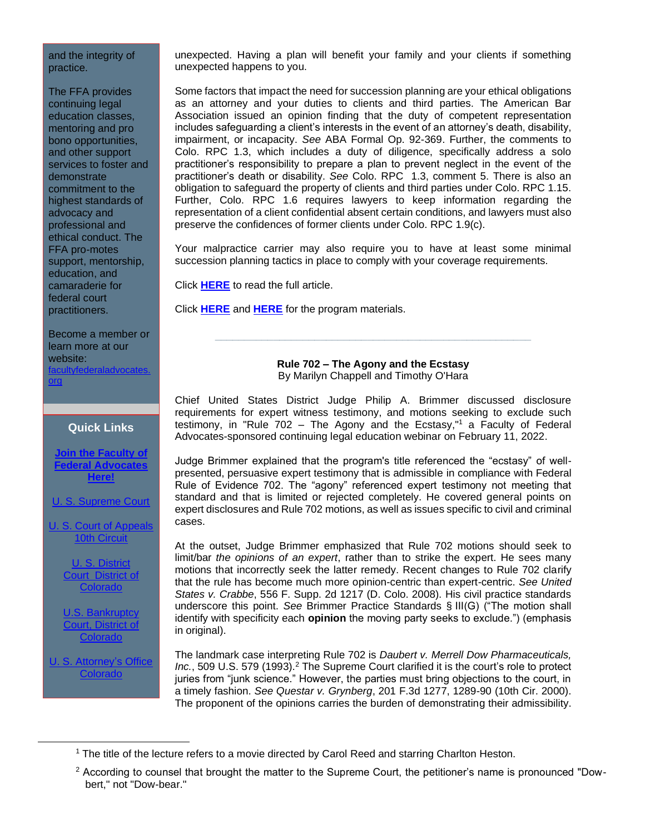#### and the integrity of practice.

The FFA provides continuing legal education classes, mentoring and pro bono opportunities, and other support services to foster and demonstrate commitment to the highest standards of advocacy and professional and ethical conduct. The FFA pro-motes support, mentorship, education, and camaraderie for federal court practitioners.

Become a member or learn more at our website: raladvocate [org](http://r20.rs6.net/tn.jsp?f=001z9tZg0nCULmYCVz73p3-xAR9moP0_0NmFtRc6-ANeR06lpou4VBLpNQ6Gfdm_tv7-f-NrdMjGAVrTjSm9RUcpBzXEutKxY_kE2K6zgsD-JxHgCR_08-4TRC2bHp8pZEgs8fTTTP7z_q_F8RlmniIImFiZ6kToAiXmd3w4H-hgJNLa-2H5QtMfebNRqEmXz53_4-UoskphX3zYmWTDNRfXg==&c=tID4TZ_X7a5iPAVyXTDoqA6-I0Oqc5ET6QqG5AY9Jy7CZMWTaO6_7w==&ch=y-DzzmxaKG-aDEWYsUzH7SOYjhknLbi1Qrvfo1_lGhy0J7p4BOvvJA==)

#### **Quick Links**

**[Join the Faculty of](http://r20.rs6.net/tn.jsp?f=001z9tZg0nCULmYCVz73p3-xAR9moP0_0NmFtRc6-ANeR06lpou4VBLpMorO1PxACWFn2Z8TcE1KqdlGqV9lz7eXjAvJzCQ1My-9kLkd10rCSyDI7Ullkk2E8yhHGv11mZJgyJjlv2OABcajsEGzs2lcIuj8JkaTDWHQP52JtX2KtlENjjWnmfBdQ2Bghad2QaK7T7mMwelwMIukxXo3sPWaw==&c=tID4TZ_X7a5iPAVyXTDoqA6-I0Oqc5ET6QqG5AY9Jy7CZMWTaO6_7w==&ch=y-DzzmxaKG-aDEWYsUzH7SOYjhknLbi1Qrvfo1_lGhy0J7p4BOvvJA==)  [Federal Advocates](http://r20.rs6.net/tn.jsp?f=001z9tZg0nCULmYCVz73p3-xAR9moP0_0NmFtRc6-ANeR06lpou4VBLpMorO1PxACWFn2Z8TcE1KqdlGqV9lz7eXjAvJzCQ1My-9kLkd10rCSyDI7Ullkk2E8yhHGv11mZJgyJjlv2OABcajsEGzs2lcIuj8JkaTDWHQP52JtX2KtlENjjWnmfBdQ2Bghad2QaK7T7mMwelwMIukxXo3sPWaw==&c=tID4TZ_X7a5iPAVyXTDoqA6-I0Oqc5ET6QqG5AY9Jy7CZMWTaO6_7w==&ch=y-DzzmxaKG-aDEWYsUzH7SOYjhknLbi1Qrvfo1_lGhy0J7p4BOvvJA==)  [Here!](http://r20.rs6.net/tn.jsp?f=001z9tZg0nCULmYCVz73p3-xAR9moP0_0NmFtRc6-ANeR06lpou4VBLpMorO1PxACWFn2Z8TcE1KqdlGqV9lz7eXjAvJzCQ1My-9kLkd10rCSyDI7Ullkk2E8yhHGv11mZJgyJjlv2OABcajsEGzs2lcIuj8JkaTDWHQP52JtX2KtlENjjWnmfBdQ2Bghad2QaK7T7mMwelwMIukxXo3sPWaw==&c=tID4TZ_X7a5iPAVyXTDoqA6-I0Oqc5ET6QqG5AY9Jy7CZMWTaO6_7w==&ch=y-DzzmxaKG-aDEWYsUzH7SOYjhknLbi1Qrvfo1_lGhy0J7p4BOvvJA==)**

[U. S. Supreme Court](http://r20.rs6.net/tn.jsp?f=001z9tZg0nCULmYCVz73p3-xAR9moP0_0NmFtRc6-ANeR06lpou4VBLpGcz1iwng1hJ_t_Pu7YObAHKGHjkEbgfwax1gj52SgorD3rnvj3EzVBBCk89FZAwbHehkkvRar3Fvdor03IvYX8_IWzdxNjkNZpRBVnESjwI4MjHljxbFSHZRrGSUt5tpA==&c=tID4TZ_X7a5iPAVyXTDoqA6-I0Oqc5ET6QqG5AY9Jy7CZMWTaO6_7w==&ch=y-DzzmxaKG-aDEWYsUzH7SOYjhknLbi1Qrvfo1_lGhy0J7p4BOvvJA==)

[U. S. Court of Appeals](http://r20.rs6.net/tn.jsp?f=001z9tZg0nCULmYCVz73p3-xAR9moP0_0NmFtRc6-ANeR06lpou4VBLpGcz1iwng1hJ48DZIFpQt1dp4KVqZwe7cagDt3i4YnqpP9zF2avsNxJUSkeIgi1om2hjRmMfi7fHgg0AqabpJzx5sJsvx2LA4aUr22XyvXcNz9680JYd3gt0_Zk_vJHyGw==&c=tID4TZ_X7a5iPAVyXTDoqA6-I0Oqc5ET6QqG5AY9Jy7CZMWTaO6_7w==&ch=y-DzzmxaKG-aDEWYsUzH7SOYjhknLbi1Qrvfo1_lGhy0J7p4BOvvJA==)  [10th Circuit](http://r20.rs6.net/tn.jsp?f=001z9tZg0nCULmYCVz73p3-xAR9moP0_0NmFtRc6-ANeR06lpou4VBLpGcz1iwng1hJ48DZIFpQt1dp4KVqZwe7cagDt3i4YnqpP9zF2avsNxJUSkeIgi1om2hjRmMfi7fHgg0AqabpJzx5sJsvx2LA4aUr22XyvXcNz9680JYd3gt0_Zk_vJHyGw==&c=tID4TZ_X7a5iPAVyXTDoqA6-I0Oqc5ET6QqG5AY9Jy7CZMWTaO6_7w==&ch=y-DzzmxaKG-aDEWYsUzH7SOYjhknLbi1Qrvfo1_lGhy0J7p4BOvvJA==)

> [U. S. District](http://r20.rs6.net/tn.jsp?f=001z9tZg0nCULmYCVz73p3-xAR9moP0_0NmFtRc6-ANeR06lpou4VBLpGcz1iwng1hJ3kp7isoGQ1LO4SsA1gIqrJpjXi1cD4U3zUG2MPMqybPb7Tkx4Q_f1XUXS9rUwiyDuk8v4Uwpp4-yFQtKBk3ulZL2UI0s25v9w0s0uG7Y0zPMfpX1knoIjw==&c=tID4TZ_X7a5iPAVyXTDoqA6-I0Oqc5ET6QqG5AY9Jy7CZMWTaO6_7w==&ch=y-DzzmxaKG-aDEWYsUzH7SOYjhknLbi1Qrvfo1_lGhy0J7p4BOvvJA==)  Court [District](http://r20.rs6.net/tn.jsp?f=001z9tZg0nCULmYCVz73p3-xAR9moP0_0NmFtRc6-ANeR06lpou4VBLpGcz1iwng1hJ3kp7isoGQ1LO4SsA1gIqrJpjXi1cD4U3zUG2MPMqybPb7Tkx4Q_f1XUXS9rUwiyDuk8v4Uwpp4-yFQtKBk3ulZL2UI0s25v9w0s0uG7Y0zPMfpX1knoIjw==&c=tID4TZ_X7a5iPAVyXTDoqA6-I0Oqc5ET6QqG5AY9Jy7CZMWTaO6_7w==&ch=y-DzzmxaKG-aDEWYsUzH7SOYjhknLbi1Qrvfo1_lGhy0J7p4BOvvJA==) of **[Colorado](http://r20.rs6.net/tn.jsp?f=001z9tZg0nCULmYCVz73p3-xAR9moP0_0NmFtRc6-ANeR06lpou4VBLpGcz1iwng1hJ3kp7isoGQ1LO4SsA1gIqrJpjXi1cD4U3zUG2MPMqybPb7Tkx4Q_f1XUXS9rUwiyDuk8v4Uwpp4-yFQtKBk3ulZL2UI0s25v9w0s0uG7Y0zPMfpX1knoIjw==&c=tID4TZ_X7a5iPAVyXTDoqA6-I0Oqc5ET6QqG5AY9Jy7CZMWTaO6_7w==&ch=y-DzzmxaKG-aDEWYsUzH7SOYjhknLbi1Qrvfo1_lGhy0J7p4BOvvJA==)**

U.S. Bankruptcy [Court, District of](http://r20.rs6.net/tn.jsp?f=001z9tZg0nCULmYCVz73p3-xAR9moP0_0NmFtRc6-ANeR06lpou4VBLpCJt3nXIOuoKjfo9Vi9Ssy3JbxYrW5Eyr4VCtZvtLD1wVlM6CXSRYOyFtomkd16D66g2n4xnSKha68RvwqJTL-ezKHwA0IGM-StkzmcNyOmqL5qFFIFB1bBGjXofs8mWxw==&c=tID4TZ_X7a5iPAVyXTDoqA6-I0Oqc5ET6QqG5AY9Jy7CZMWTaO6_7w==&ch=y-DzzmxaKG-aDEWYsUzH7SOYjhknLbi1Qrvfo1_lGhy0J7p4BOvvJA==)  **[Colorado](http://r20.rs6.net/tn.jsp?f=001z9tZg0nCULmYCVz73p3-xAR9moP0_0NmFtRc6-ANeR06lpou4VBLpCJt3nXIOuoKjfo9Vi9Ssy3JbxYrW5Eyr4VCtZvtLD1wVlM6CXSRYOyFtomkd16D66g2n4xnSKha68RvwqJTL-ezKHwA0IGM-StkzmcNyOmqL5qFFIFB1bBGjXofs8mWxw==&c=tID4TZ_X7a5iPAVyXTDoqA6-I0Oqc5ET6QqG5AY9Jy7CZMWTaO6_7w==&ch=y-DzzmxaKG-aDEWYsUzH7SOYjhknLbi1Qrvfo1_lGhy0J7p4BOvvJA==)** 

U. S. Attorney's Office [Colorado](http://r20.rs6.net/tn.jsp?f=001z9tZg0nCULmYCVz73p3-xAR9moP0_0NmFtRc6-ANeR06lpou4VBLpGcz1iwng1hJAMAZ_Z_HXfCEi0OpM-BwK3KnI_8fGGfP1vkd-2PdYYXpysOIABeOKqBkz4_bQUbyxR2Pl41W78D1HNvPZonFj3nyemF7qjqURaKQ_sCtep9543-kqIIo6Q==&c=tID4TZ_X7a5iPAVyXTDoqA6-I0Oqc5ET6QqG5AY9Jy7CZMWTaO6_7w==&ch=y-DzzmxaKG-aDEWYsUzH7SOYjhknLbi1Qrvfo1_lGhy0J7p4BOvvJA==)

unexpected. Having a plan will benefit your family and your clients if something unexpected happens to you.

Some factors that impact the need for succession planning are your ethical obligations as an attorney and your duties to clients and third parties. The American Bar Association issued an opinion finding that the duty of competent representation includes safeguarding a client's interests in the event of an attorney's death, disability, impairment, or incapacity. *See* ABA Formal Op. 92-369. Further, the comments to Colo. RPC 1.3, which includes a duty of diligence, specifically address a solo practitioner's responsibility to prepare a plan to prevent neglect in the event of the practitioner's death or disability. *See* Colo. RPC 1.3, comment 5. There is also an obligation to safeguard the property of clients and third parties under Colo. RPC 1.15. Further, Colo. RPC 1.6 requires lawyers to keep information regarding the representation of a client confidential absent certain conditions, and lawyers must also preserve the confidences of former clients under Colo. RPC 1.9(c).

Your malpractice carrier may also require you to have at least some minimal succession planning tactics in place to comply with your coverage requirements.

Click **HERE** to read the full article.

Click **[HERE](https://facultyoffederaladvocates44.wildapricot.org/resources/Succession%20Planning%20Guide%20-%202019.pdf)** and **[HERE](https://facultyoffederaladvocates44.wildapricot.org/resources/Succession%20Planning%20for%20Lawyers%20-%202022.pdf)** for the program materials.

#### **Rule 702 – The Agony and the Ecstasy** By Marilyn Chappell and Timothy O'Hara

**\_\_\_\_\_\_\_\_\_\_\_\_\_\_\_\_\_\_\_\_\_\_\_\_\_\_\_\_\_\_\_\_\_\_\_\_\_\_\_\_\_\_\_\_\_\_\_\_\_\_\_\_\_\_**

Chief United States District Judge Philip A. Brimmer discussed disclosure requirements for expert witness testimony, and motions seeking to exclude such testimony, in "Rule  $702$  – The Agony and the Ecstasy,"<sup>1</sup> a Faculty of Federal Advocates-sponsored continuing legal education webinar on February 11, 2022.

Judge Brimmer explained that the program's title referenced the "ecstasy" of wellpresented, persuasive expert testimony that is admissible in compliance with Federal Rule of Evidence 702. The "agony" referenced expert testimony not meeting that standard and that is limited or rejected completely. He covered general points on expert disclosures and Rule 702 motions, as well as issues specific to civil and criminal cases.

At the outset, Judge Brimmer emphasized that Rule 702 motions should seek to limit/bar *the opinions of an expert*, rather than to strike the expert. He sees many motions that incorrectly seek the latter remedy. Recent changes to Rule 702 clarify that the rule has become much more opinion-centric than expert-centric. *See United States v. Crabbe*, 556 F. Supp. 2d 1217 (D. Colo. 2008). His civil practice standards underscore this point. *See* Brimmer Practice Standards § III(G) ("The motion shall identify with specificity each **opinion** the moving party seeks to exclude.") (emphasis in original).

The landmark case interpreting Rule 702 is *Daubert v. Merrell Dow Pharmaceuticals,*  Inc., 509 U.S. 579 (1993).<sup>2</sup> The Supreme Court clarified it is the court's role to protect juries from "junk science." However, the parties must bring objections to the court, in a timely fashion. *See Questar v. Grynberg*, 201 F.3d 1277, 1289-90 (10th Cir. 2000). The proponent of the opinions carries the burden of demonstrating their admissibility.

<sup>&</sup>lt;sup>1</sup> The title of the lecture refers to a movie directed by Carol Reed and starring Charlton Heston.

<sup>&</sup>lt;sup>2</sup> According to counsel that brought the matter to the Supreme Court, the petitioner's name is pronounced "Dowbert," not "Dow-bear."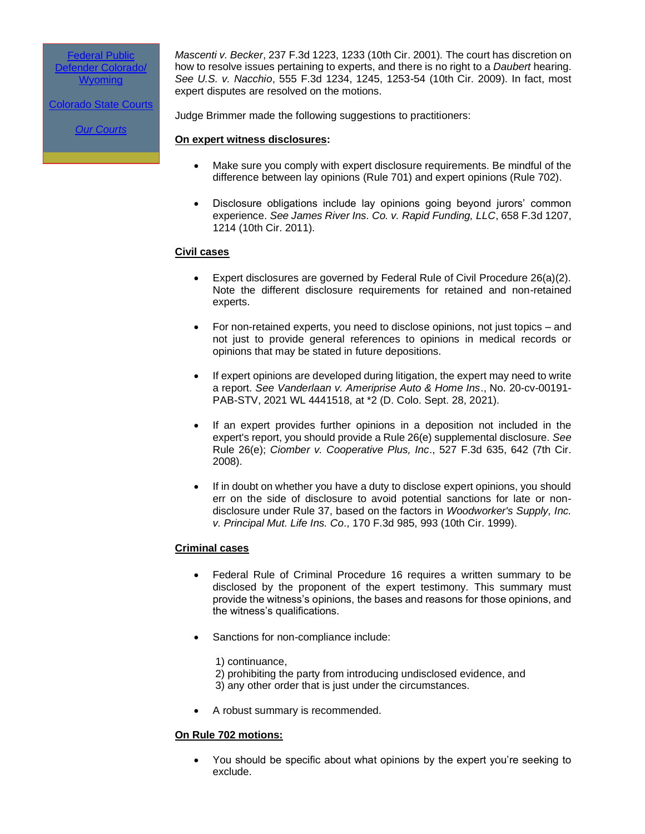[Federal Public](http://r20.rs6.net/tn.jsp?f=001z9tZg0nCULmYCVz73p3-xAR9moP0_0NmFtRc6-ANeR06lpou4VBLpGcz1iwng1hJ1LbLmyckJi7L_Ag3-cpRLm85knu9za49PhbLOCUWC83QJ4ZBlWETbzKBmeJKfPy8Dm_7OnUX3NkOR0TAJPOROuO95nRO5RGQyY9kX18Hr_k=&c=tID4TZ_X7a5iPAVyXTDoqA6-I0Oqc5ET6QqG5AY9Jy7CZMWTaO6_7w==&ch=y-DzzmxaKG-aDEWYsUzH7SOYjhknLbi1Qrvfo1_lGhy0J7p4BOvvJA==)  Defender [Colorado/](http://r20.rs6.net/tn.jsp?f=001z9tZg0nCULmYCVz73p3-xAR9moP0_0NmFtRc6-ANeR06lpou4VBLpGcz1iwng1hJ1LbLmyckJi7L_Ag3-cpRLm85knu9za49PhbLOCUWC83QJ4ZBlWETbzKBmeJKfPy8Dm_7OnUX3NkOR0TAJPOROuO95nRO5RGQyY9kX18Hr_k=&c=tID4TZ_X7a5iPAVyXTDoqA6-I0Oqc5ET6QqG5AY9Jy7CZMWTaO6_7w==&ch=y-DzzmxaKG-aDEWYsUzH7SOYjhknLbi1Qrvfo1_lGhy0J7p4BOvvJA==) **[Wyoming](http://r20.rs6.net/tn.jsp?f=001z9tZg0nCULmYCVz73p3-xAR9moP0_0NmFtRc6-ANeR06lpou4VBLpGcz1iwng1hJ1LbLmyckJi7L_Ag3-cpRLm85knu9za49PhbLOCUWC83QJ4ZBlWETbzKBmeJKfPy8Dm_7OnUX3NkOR0TAJPOROuO95nRO5RGQyY9kX18Hr_k=&c=tID4TZ_X7a5iPAVyXTDoqA6-I0Oqc5ET6QqG5AY9Jy7CZMWTaO6_7w==&ch=y-DzzmxaKG-aDEWYsUzH7SOYjhknLbi1Qrvfo1_lGhy0J7p4BOvvJA==)** 

[Colorado State Courts](http://r20.rs6.net/tn.jsp?f=001z9tZg0nCULmYCVz73p3-xAR9moP0_0NmFtRc6-ANeR06lpou4VBLpGcz1iwng1hJuChqJfe_yVTKz3CaMGFq8ORzxR3oDxkvseXalrctStJLLLTZfRHOiykprS-Fg43NLxXQ1PGIqYEF331JPokaz4XO0jv3TG7Hiep_DtiUjgAGvznRiyRZXQ==&c=tID4TZ_X7a5iPAVyXTDoqA6-I0Oqc5ET6QqG5AY9Jy7CZMWTaO6_7w==&ch=y-DzzmxaKG-aDEWYsUzH7SOYjhknLbi1Qrvfo1_lGhy0J7p4BOvvJA==)

*[Our Courts](http://r20.rs6.net/tn.jsp?f=001z9tZg0nCULmYCVz73p3-xAR9moP0_0NmFtRc6-ANeR06lpou4VBLpGcz1iwng1hJAPLupWAArzJtX3p0oCyE1KQ2czk-18P7nMnT0tcZfuQwyI5JW8UmjCnRWt7M1zhm-6izzPbZhMrKZkPikpPos0sxLUEsbgVbLWmdFjo7F3Ap-hbmRaWG1g==&c=tID4TZ_X7a5iPAVyXTDoqA6-I0Oqc5ET6QqG5AY9Jy7CZMWTaO6_7w==&ch=y-DzzmxaKG-aDEWYsUzH7SOYjhknLbi1Qrvfo1_lGhy0J7p4BOvvJA==)*

*Mascenti v. Becker*, 237 F.3d 1223, 1233 (10th Cir. 2001)*.* The court has discretion on how to resolve issues pertaining to experts, and there is no right to a *Daubert* hearing. *See U.S. v. Nacchio*, 555 F.3d 1234, 1245, 1253-54 (10th Cir. 2009). In fact, most expert disputes are resolved on the motions.

Judge Brimmer made the following suggestions to practitioners:

#### **On expert witness disclosures:**

- Make sure you comply with expert disclosure requirements. Be mindful of the difference between lay opinions (Rule 701) and expert opinions (Rule 702).
- Disclosure obligations include lay opinions going beyond jurors' common experience. *See James River Ins. Co. v. Rapid Funding, LLC*, 658 F.3d 1207, 1214 (10th Cir. 2011).

#### **Civil cases**

- Expert disclosures are governed by Federal Rule of Civil Procedure 26(a)(2). Note the different disclosure requirements for retained and non-retained experts.
- For non-retained experts, you need to disclose opinions, not just topics and not just to provide general references to opinions in medical records or opinions that may be stated in future depositions.
- If expert opinions are developed during litigation, the expert may need to write a report. *See Vanderlaan v. Ameriprise Auto & Home Ins*., No. 20-cv-00191- PAB-STV, 2021 WL 4441518, at \*2 (D. Colo. Sept. 28, 2021).
- If an expert provides further opinions in a deposition not included in the expert's report, you should provide a Rule 26(e) supplemental disclosure. *See* Rule 26(e); *Ciomber v. Cooperative Plus, Inc*., 527 F.3d 635, 642 (7th Cir. 2008).
- If in doubt on whether you have a duty to disclose expert opinions, you should err on the side of disclosure to avoid potential sanctions for late or nondisclosure under Rule 37, based on the factors in *Woodworker's Supply, Inc. v. Principal Mut. Life Ins. Co*., 170 F.3d 985, 993 (10th Cir. 1999).

#### **Criminal cases**

- Federal Rule of Criminal Procedure 16 requires a written summary to be disclosed by the proponent of the expert testimony. This summary must provide the witness's opinions, the bases and reasons for those opinions, and the witness's qualifications.
- Sanctions for non-compliance include:
	- 1) continuance,
	- 2) prohibiting the party from introducing undisclosed evidence, and 3) any other order that is just under the circumstances.
- A robust summary is recommended.

#### **On Rule 702 motions:**

• You should be specific about what opinions by the expert you're seeking to exclude.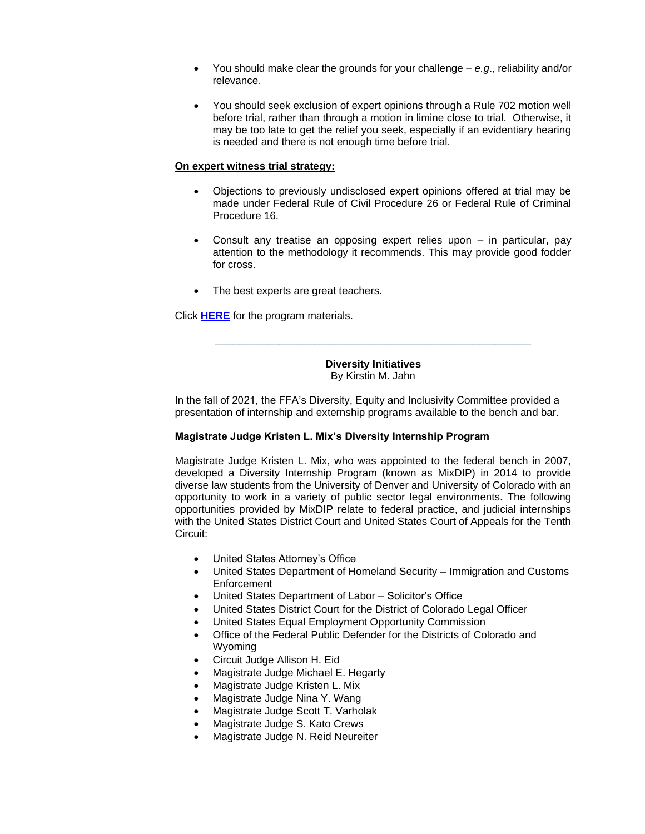- You should make clear the grounds for your challenge *e.g*., reliability and/or relevance.
- You should seek exclusion of expert opinions through a Rule 702 motion well before trial, rather than through a motion in limine close to trial. Otherwise, it may be too late to get the relief you seek, especially if an evidentiary hearing is needed and there is not enough time before trial.

#### **On expert witness trial strategy:**

- Objections to previously undisclosed expert opinions offered at trial may be made under Federal Rule of Civil Procedure 26 or Federal Rule of Criminal Procedure 16.
- Consult any treatise an opposing expert relies upon in particular, pay attention to the methodology it recommends. This may provide good fodder for cross.
- The best experts are great teachers.

Click **[HERE](https://facultyoffederaladvocates44.wildapricot.org/resources/Rule%20702%20FFA%20PowerPoint.pdf)** for the program materials.

**Diversity Initiatives** By Kirstin M. Jahn

**\_\_\_\_\_\_\_\_\_\_\_\_\_\_\_\_\_\_\_\_\_\_\_\_\_\_\_\_\_\_\_\_\_\_\_\_\_\_\_\_\_\_\_\_\_\_\_\_\_\_\_\_\_\_**

In the fall of 2021, the FFA's Diversity, Equity and Inclusivity Committee provided a presentation of internship and externship programs available to the bench and bar.

#### **Magistrate Judge Kristen L. Mix's Diversity Internship Program**

Magistrate Judge Kristen L. Mix, who was appointed to the federal bench in 2007, developed a Diversity Internship Program (known as MixDIP) in 2014 to provide diverse law students from the University of Denver and University of Colorado with an opportunity to work in a variety of public sector legal environments. The following opportunities provided by MixDIP relate to federal practice, and judicial internships with the United States District Court and United States Court of Appeals for the Tenth Circuit:

- United States Attorney's Office
- United States Department of Homeland Security Immigration and Customs Enforcement
- United States Department of Labor Solicitor's Office
- United States District Court for the District of Colorado Legal Officer
- United States Equal Employment Opportunity Commission
- Office of the Federal Public Defender for the Districts of Colorado and Wyoming
- Circuit Judge Allison H. Eid
- Magistrate Judge Michael E. Hegarty
- Magistrate Judge Kristen L. Mix
- Magistrate Judge Nina Y. Wang
- Magistrate Judge Scott T. Varholak
- Magistrate Judge S. Kato Crews
- Magistrate Judge N. Reid Neureiter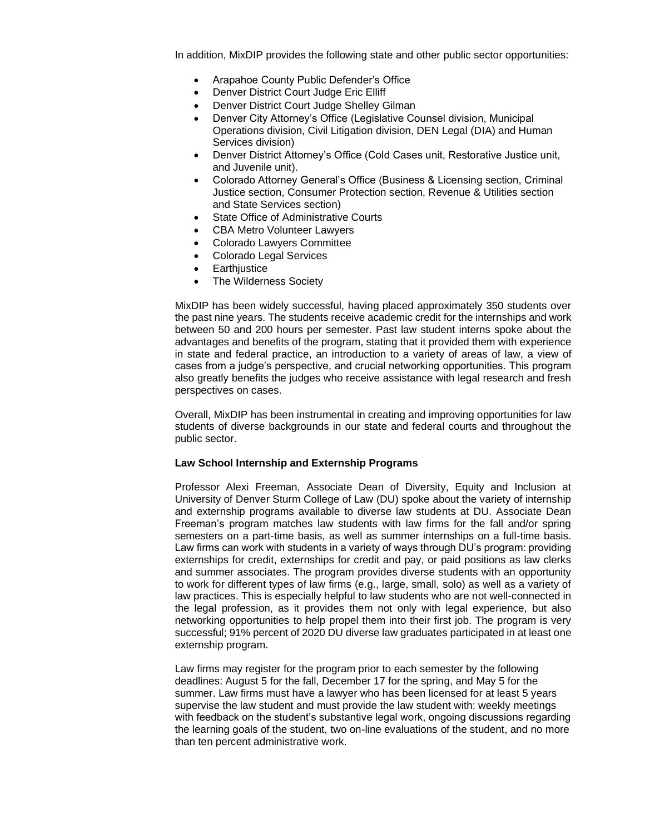In addition, MixDIP provides the following state and other public sector opportunities:

- Arapahoe County Public Defender's Office
- Denver District Court Judge Eric Elliff
- Denver District Court Judge Shelley Gilman
- Denver City Attorney's Office (Legislative Counsel division, Municipal Operations division, Civil Litigation division, DEN Legal (DIA) and Human Services division)
- Denver District Attorney's Office (Cold Cases unit, Restorative Justice unit, and Juvenile unit).
- Colorado Attorney General's Office (Business & Licensing section, Criminal Justice section, Consumer Protection section, Revenue & Utilities section and State Services section)
- State Office of Administrative Courts
- CBA Metro Volunteer Lawyers
- Colorado Lawyers Committee
- Colorado Legal Services
- **Earthiustice**
- The Wilderness Society

MixDIP has been widely successful, having placed approximately 350 students over the past nine years. The students receive academic credit for the internships and work between 50 and 200 hours per semester. Past law student interns spoke about the advantages and benefits of the program, stating that it provided them with experience in state and federal practice, an introduction to a variety of areas of law, a view of cases from a judge's perspective, and crucial networking opportunities. This program also greatly benefits the judges who receive assistance with legal research and fresh perspectives on cases.

Overall, MixDIP has been instrumental in creating and improving opportunities for law students of diverse backgrounds in our state and federal courts and throughout the public sector.

#### **Law School Internship and Externship Programs**

Professor Alexi Freeman, Associate Dean of Diversity, Equity and Inclusion at University of Denver Sturm College of Law (DU) spoke about the variety of internship and externship programs available to diverse law students at DU. Associate Dean Freeman's program matches law students with law firms for the fall and/or spring semesters on a part-time basis, as well as summer internships on a full-time basis. Law firms can work with students in a variety of ways through DU's program: providing externships for credit, externships for credit and pay, or paid positions as law clerks and summer associates. The program provides diverse students with an opportunity to work for different types of law firms (e.g., large, small, solo) as well as a variety of law practices. This is especially helpful to law students who are not well-connected in the legal profession, as it provides them not only with legal experience, but also networking opportunities to help propel them into their first job. The program is very successful; 91% percent of 2020 DU diverse law graduates participated in at least one externship program.

Law firms may register for the program prior to each semester by the following deadlines: August 5 for the fall, December 17 for the spring, and May 5 for the summer. Law firms must have a lawyer who has been licensed for at least 5 years supervise the law student and must provide the law student with: weekly meetings with feedback on the student's substantive legal work, ongoing discussions regarding the learning goals of the student, two on-line evaluations of the student, and no more than ten percent administrative work.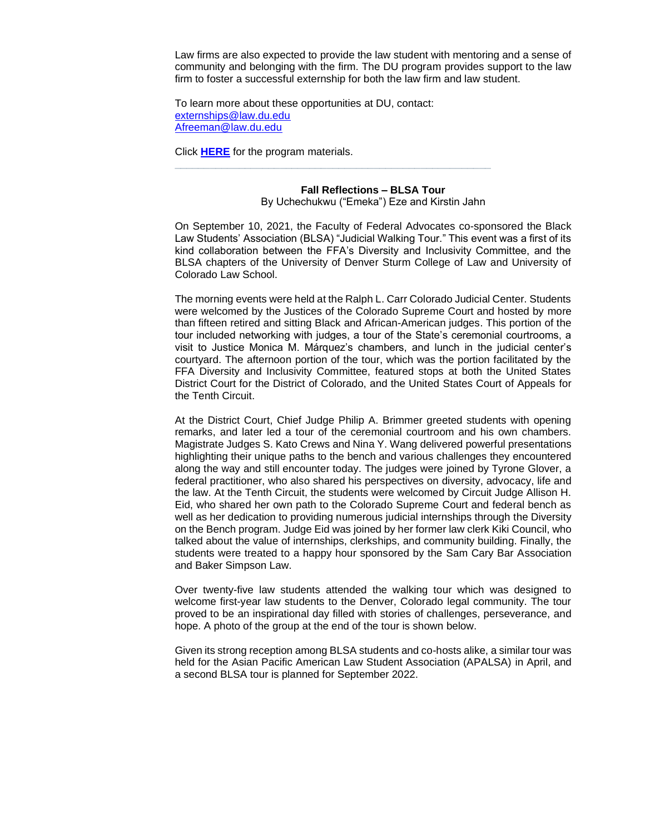Law firms are also expected to provide the law student with mentoring and a sense of community and belonging with the firm. The DU program provides support to the law firm to foster a successful externship for both the law firm and law student.

To learn more about these opportunities at DU, contact: [externships@law.du.edu](mailto:externships@law.du.edu) [Afreeman@law.du.edu](mailto:Afreeman@law.du.edu)

**\_\_\_\_\_\_\_\_\_\_\_\_\_\_\_\_\_\_\_\_\_\_\_\_\_\_\_\_\_\_\_\_\_\_\_\_\_\_\_\_\_\_\_\_\_\_\_\_\_\_\_\_\_\_**

Click **[HERE](https://www.law.du.edu/sites/default/files/2021-08/DU%20Supervisor%20Handbook_8.16.2021.pdf)** for the program materials.

### **Fall Reflections – BLSA Tour**

By Uchechukwu ("Emeka") Eze and Kirstin Jahn

On September 10, 2021, the Faculty of Federal Advocates co-sponsored the Black Law Students' Association (BLSA) "Judicial Walking Tour." This event was a first of its kind collaboration between the FFA's Diversity and Inclusivity Committee, and the BLSA chapters of the University of Denver Sturm College of Law and University of Colorado Law School.

The morning events were held at the Ralph L. Carr Colorado Judicial Center. Students were welcomed by the Justices of the Colorado Supreme Court and hosted by more than fifteen retired and sitting Black and African-American judges. This portion of the tour included networking with judges, a tour of the State's ceremonial courtrooms, a visit to Justice Monica M. Márquez's chambers, and lunch in the judicial center's courtyard. The afternoon portion of the tour, which was the portion facilitated by the FFA Diversity and Inclusivity Committee, featured stops at both the United States District Court for the District of Colorado, and the United States Court of Appeals for the Tenth Circuit.

At the District Court, Chief Judge Philip A. Brimmer greeted students with opening remarks, and later led a tour of the ceremonial courtroom and his own chambers. Magistrate Judges S. Kato Crews and Nina Y. Wang delivered powerful presentations highlighting their unique paths to the bench and various challenges they encountered along the way and still encounter today. The judges were joined by Tyrone Glover, a federal practitioner, who also shared his perspectives on diversity, advocacy, life and the law. At the Tenth Circuit, the students were welcomed by Circuit Judge Allison H. Eid, who shared her own path to the Colorado Supreme Court and federal bench as well as her dedication to providing numerous judicial internships through the Diversity on the Bench program. Judge Eid was joined by her former law clerk Kiki Council, who talked about the value of internships, clerkships, and community building. Finally, the students were treated to a happy hour sponsored by the Sam Cary Bar Association and Baker Simpson Law.

Over twenty-five law students attended the walking tour which was designed to welcome first-year law students to the Denver, Colorado legal community. The tour proved to be an inspirational day filled with stories of challenges, perseverance, and hope. A photo of the group at the end of the tour is shown below.

Given its strong reception among BLSA students and co-hosts alike, a similar tour was held for the Asian Pacific American Law Student Association (APALSA) in April, and a second BLSA tour is planned for September 2022.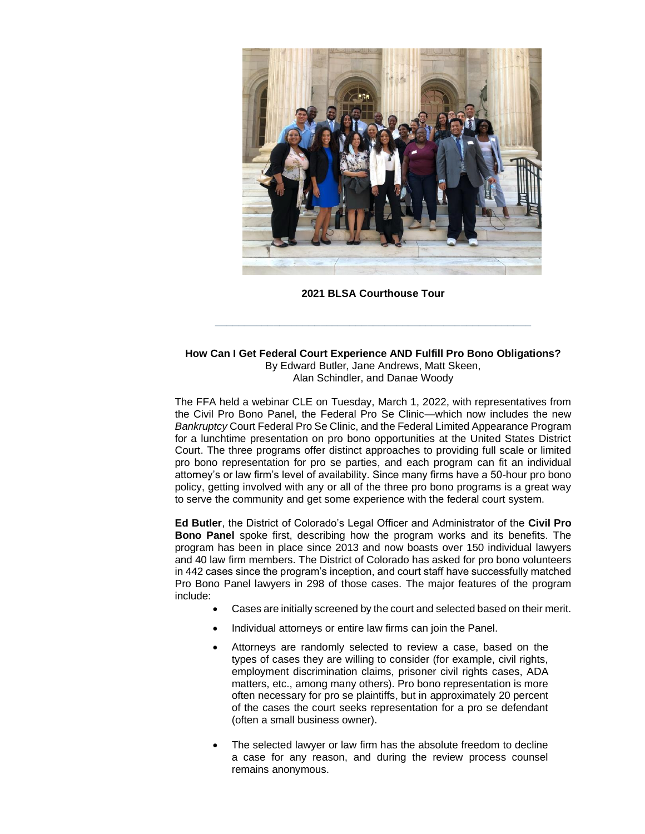

**2021 BLSA Courthouse Tour**

**\_\_\_\_\_\_\_\_\_\_\_\_\_\_\_\_\_\_\_\_\_\_\_\_\_\_\_\_\_\_\_\_\_\_\_\_\_\_\_\_\_\_\_\_\_\_\_\_\_\_\_\_\_\_**

#### **How Can I Get Federal Court Experience AND Fulfill Pro Bono Obligations?** By Edward Butler, Jane Andrews, Matt Skeen, Alan Schindler, and Danae Woody

The FFA held a webinar CLE on Tuesday, March 1, 2022, with representatives from the Civil Pro Bono Panel, the Federal Pro Se Clinic—which now includes the new *Bankruptcy* Court Federal Pro Se Clinic, and the Federal Limited Appearance Program for a lunchtime presentation on pro bono opportunities at the United States District Court. The three programs offer distinct approaches to providing full scale or limited pro bono representation for pro se parties, and each program can fit an individual attorney's or law firm's level of availability. Since many firms have a 50-hour pro bono policy, getting involved with any or all of the three pro bono programs is a great way to serve the community and get some experience with the federal court system.

**Ed Butler**, the District of Colorado's Legal Officer and Administrator of the **Civil Pro Bono Panel** spoke first, describing how the program works and its benefits. The program has been in place since 2013 and now boasts over 150 individual lawyers and 40 law firm members. The District of Colorado has asked for pro bono volunteers in 442 cases since the program's inception, and court staff have successfully matched Pro Bono Panel lawyers in 298 of those cases. The major features of the program include:

- Cases are initially screened by the court and selected based on their merit.
- Individual attorneys or entire law firms can join the Panel.
- Attorneys are randomly selected to review a case, based on the types of cases they are willing to consider (for example, civil rights, employment discrimination claims, prisoner civil rights cases, ADA matters, etc., among many others). Pro bono representation is more often necessary for pro se plaintiffs, but in approximately 20 percent of the cases the court seeks representation for a pro se defendant (often a small business owner).
- The selected lawyer or law firm has the absolute freedom to decline a case for any reason, and during the review process counsel remains anonymous.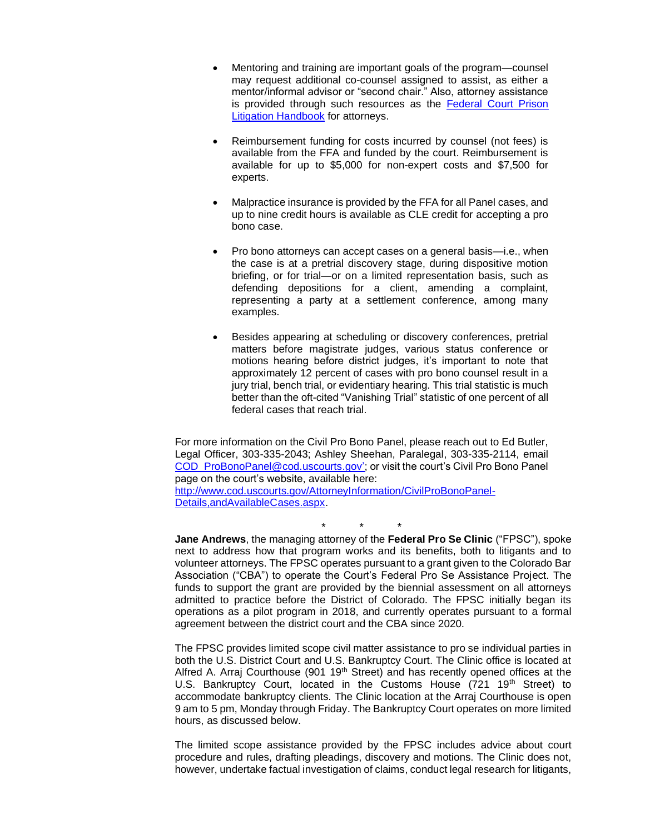- Mentoring and training are important goals of the program—counsel may request additional co-counsel assigned to assist, as either a mentor/informal advisor or "second chair." Also, attorney assistance is provided through such resources as the Federal Court Prison [Litigation Handbook](http://www.cod.uscourts.gov/Portals/0/Documents/AttInfo/Federal_Court_Prison_Litigation_Handbook.pdf) for attorneys.
- Reimbursement funding for costs incurred by counsel (not fees) is available from the FFA and funded by the court. Reimbursement is available for up to \$5,000 for non-expert costs and \$7,500 for experts.
- Malpractice insurance is provided by the FFA for all Panel cases, and up to nine credit hours is available as CLE credit for accepting a pro bono case.
- Pro bono attorneys can accept cases on a general basis—i.e., when the case is at a pretrial discovery stage, during dispositive motion briefing, or for trial—or on a limited representation basis, such as defending depositions for a client, amending a complaint, representing a party at a settlement conference, among many examples.
- Besides appearing at scheduling or discovery conferences, pretrial matters before magistrate judges, various status conference or motions hearing before district judges, it's important to note that approximately 12 percent of cases with pro bono counsel result in a jury trial, bench trial, or evidentiary hearing. This trial statistic is much better than the oft-cited "Vanishing Trial" statistic of one percent of all federal cases that reach trial.

For more information on the Civil Pro Bono Panel, please reach out to Ed Butler, Legal Officer, 303-335-2043; Ashley Sheehan, Paralegal, 303-335-2114, email [COD\\_ProBonoPanel@cod.uscourts.gov'](mailto:COD_ProBonoPanel@cod.uscourts.gov); or visit the court's Civil Pro Bono Panel page on the court's website, available here: [http://www.cod.uscourts.gov/AttorneyInformation/CivilProBonoPanel-](http://www.cod.uscourts.gov/AttorneyInformation/CivilProBonoPanel-Details,andAvailableCases.aspx)[Details,andAvailableCases.aspx.](http://www.cod.uscourts.gov/AttorneyInformation/CivilProBonoPanel-Details,andAvailableCases.aspx)

\* \* \* **Jane Andrews**, the managing attorney of the **Federal Pro Se Clinic** ("FPSC"), spoke next to address how that program works and its benefits, both to litigants and to volunteer attorneys. The FPSC operates pursuant to a grant given to the Colorado Bar Association ("CBA") to operate the Court's Federal Pro Se Assistance Project. The funds to support the grant are provided by the biennial assessment on all attorneys admitted to practice before the District of Colorado. The FPSC initially began its operations as a pilot program in 2018, and currently operates pursuant to a formal agreement between the district court and the CBA since 2020.

The FPSC provides limited scope civil matter assistance to pro se individual parties in both the U.S. District Court and U.S. Bankruptcy Court. The Clinic office is located at Alfred A. Arraj Courthouse (901 19<sup>th</sup> Street) and has recently opened offices at the U.S. Bankruptcy Court, located in the Customs House (721 19<sup>th</sup> Street) to accommodate bankruptcy clients. The Clinic location at the Arraj Courthouse is open 9 am to 5 pm, Monday through Friday. The Bankruptcy Court operates on more limited hours, as discussed below.

The limited scope assistance provided by the FPSC includes advice about court procedure and rules, drafting pleadings, discovery and motions. The Clinic does not, however, undertake factual investigation of claims, conduct legal research for litigants,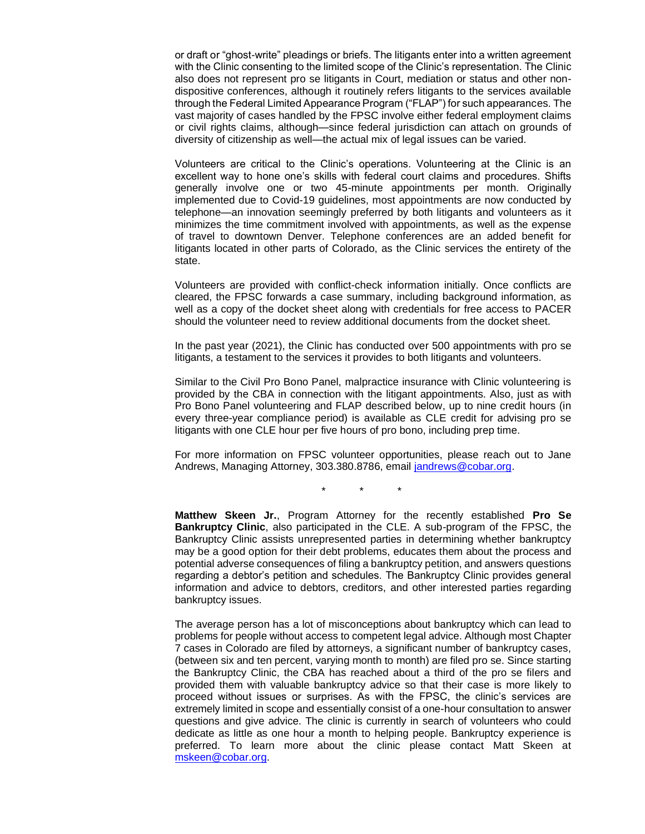or draft or "ghost-write" pleadings or briefs. The litigants enter into a written agreement with the Clinic consenting to the limited scope of the Clinic's representation. The Clinic also does not represent pro se litigants in Court, mediation or status and other nondispositive conferences, although it routinely refers litigants to the services available through the Federal Limited Appearance Program ("FLAP") for such appearances. The vast majority of cases handled by the FPSC involve either federal employment claims or civil rights claims, although—since federal jurisdiction can attach on grounds of diversity of citizenship as well—the actual mix of legal issues can be varied.

Volunteers are critical to the Clinic's operations. Volunteering at the Clinic is an excellent way to hone one's skills with federal court claims and procedures. Shifts generally involve one or two 45-minute appointments per month. Originally implemented due to Covid-19 guidelines, most appointments are now conducted by telephone—an innovation seemingly preferred by both litigants and volunteers as it minimizes the time commitment involved with appointments, as well as the expense of travel to downtown Denver. Telephone conferences are an added benefit for litigants located in other parts of Colorado, as the Clinic services the entirety of the state.

Volunteers are provided with conflict-check information initially. Once conflicts are cleared, the FPSC forwards a case summary, including background information, as well as a copy of the docket sheet along with credentials for free access to PACER should the volunteer need to review additional documents from the docket sheet.

In the past year (2021), the Clinic has conducted over 500 appointments with pro se litigants, a testament to the services it provides to both litigants and volunteers.

Similar to the Civil Pro Bono Panel, malpractice insurance with Clinic volunteering is provided by the CBA in connection with the litigant appointments. Also, just as with Pro Bono Panel volunteering and FLAP described below, up to nine credit hours (in every three-year compliance period) is available as CLE credit for advising pro se litigants with one CLE hour per five hours of pro bono, including prep time.

For more information on FPSC volunteer opportunities, please reach out to Jane Andrews, Managing Attorney, 303.380.8786, email [jandrews@cobar.org.](mailto:jandrews@cobar.org)

\* \* \*

**Matthew Skeen Jr.**, Program Attorney for the recently established **Pro Se Bankruptcy Clinic**, also participated in the CLE. A sub-program of the FPSC, the Bankruptcy Clinic assists unrepresented parties in determining whether bankruptcy may be a good option for their debt problems, educates them about the process and potential adverse consequences of filing a bankruptcy petition, and answers questions regarding a debtor's petition and schedules. The Bankruptcy Clinic provides general information and advice to debtors, creditors, and other interested parties regarding bankruptcy issues.

The average person has a lot of misconceptions about bankruptcy which can lead to problems for people without access to competent legal advice. Although most Chapter 7 cases in Colorado are filed by attorneys, a significant number of bankruptcy cases, (between six and ten percent, varying month to month) are filed pro se. Since starting the Bankruptcy Clinic, the CBA has reached about a third of the pro se filers and provided them with valuable bankruptcy advice so that their case is more likely to proceed without issues or surprises. As with the FPSC, the clinic's services are extremely limited in scope and essentially consist of a one-hour consultation to answer questions and give advice. The clinic is currently in search of volunteers who could dedicate as little as one hour a month to helping people. Bankruptcy experience is preferred. To learn more about the clinic please contact Matt Skeen at [mskeen@cobar.org.](mailto:mskeen@cobar.org)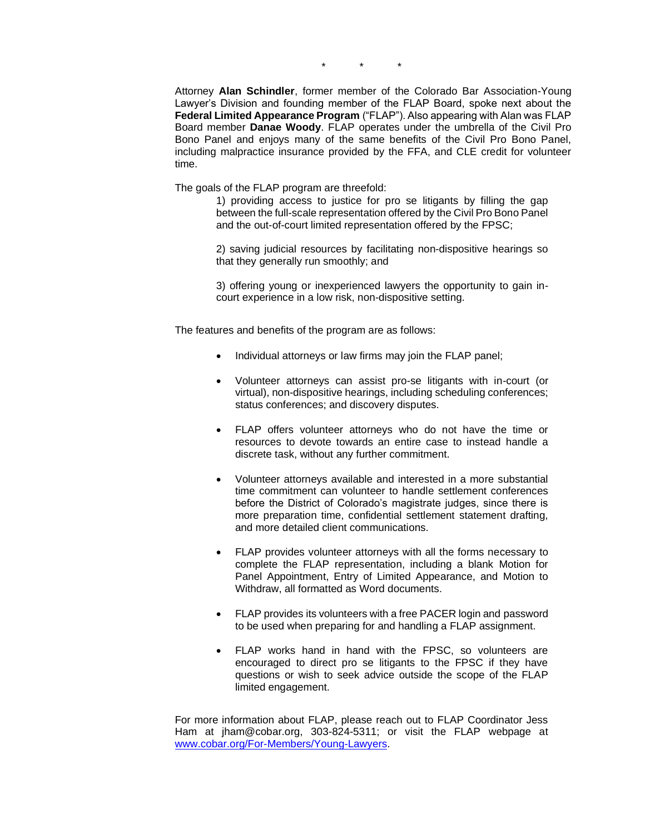\* \* \*

Attorney **Alan Schindler**, former member of the Colorado Bar Association-Young Lawyer's Division and founding member of the FLAP Board, spoke next about the **Federal Limited Appearance Program** ("FLAP"). Also appearing with Alan was FLAP Board member **Danae Woody**. FLAP operates under the umbrella of the Civil Pro Bono Panel and enjoys many of the same benefits of the Civil Pro Bono Panel, including malpractice insurance provided by the FFA, and CLE credit for volunteer time.

The goals of the FLAP program are threefold:

1) providing access to justice for pro se litigants by filling the gap between the full-scale representation offered by the Civil Pro Bono Panel and the out-of-court limited representation offered by the FPSC;

2) saving judicial resources by facilitating non-dispositive hearings so that they generally run smoothly; and

3) offering young or inexperienced lawyers the opportunity to gain incourt experience in a low risk, non-dispositive setting.

The features and benefits of the program are as follows:

- Individual attorneys or law firms may join the FLAP panel:
- Volunteer attorneys can assist pro-se litigants with in-court (or virtual), non-dispositive hearings, including scheduling conferences; status conferences; and discovery disputes.
- FLAP offers volunteer attorneys who do not have the time or resources to devote towards an entire case to instead handle a discrete task, without any further commitment.
- Volunteer attorneys available and interested in a more substantial time commitment can volunteer to handle settlement conferences before the District of Colorado's magistrate judges, since there is more preparation time, confidential settlement statement drafting, and more detailed client communications.
- FLAP provides volunteer attorneys with all the forms necessary to complete the FLAP representation, including a blank Motion for Panel Appointment, Entry of Limited Appearance, and Motion to Withdraw, all formatted as Word documents.
- FLAP provides its volunteers with a free PACER login and password to be used when preparing for and handling a FLAP assignment.
- FLAP works hand in hand with the FPSC, so volunteers are encouraged to direct pro se litigants to the FPSC if they have questions or wish to seek advice outside the scope of the FLAP limited engagement.

For more information about FLAP, please reach out to FLAP Coordinator Jess Ham at jham@cobar.org, 303-824-5311; or visit the FLAP webpage at [www.cobar.org/For-Members/Young-Lawyers.](http://www.cobar.org/For-Members/Young-Lawyers)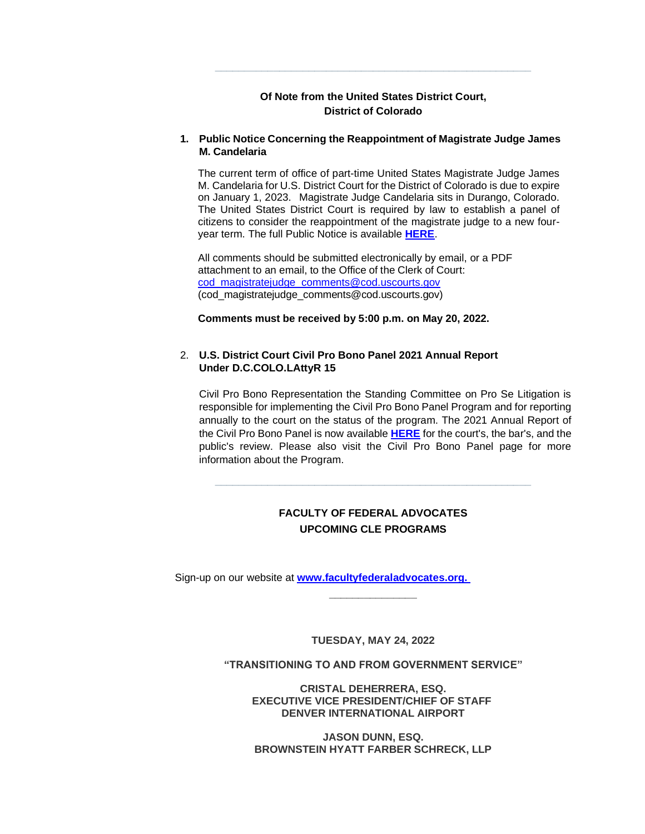#### **Of Note from the United States District Court, District of Colorado**

**\_\_\_\_\_\_\_\_\_\_\_\_\_\_\_\_\_\_\_\_\_\_\_\_\_\_\_\_\_\_\_\_\_\_\_\_\_\_\_\_\_\_\_\_\_\_\_\_\_\_\_\_\_\_**

#### **1. Public Notice Concerning the Reappointment of Magistrate Judge James M. Candelaria**

The current term of office of part-time United States Magistrate Judge James M. Candelaria for U.S. District Court for the District of Colorado is due to expire on January 1, 2023. Magistrate Judge Candelaria sits in Durango, Colorado. The United States District Court is required by law to establish a panel of citizens to consider the reappointment of the magistrate judge to a new fouryear term. The full Public Notice is available **[HERE](http://www.cod.uscourts.gov/Portals/0/Documents/Announcements/Public_Notice%20_2022_Reappointment_of_MJ_Candelaria.pdf)**.

All comments should be submitted electronically by email, or a PDF attachment to an email, to the Office of the Clerk of Court: [cod\\_magistratejudge\\_comments@cod.uscourts.gov](mailto:cod_magistratejudge_comments@cod.uscourts.gov) (cod\_magistratejudge\_comments@cod.uscourts.gov)

**Comments must be received by 5:00 p.m. on May 20, 2022.**

#### 2. **U.S. District Court Civil Pro Bono Panel 2021 Annual Report Under D.C.COLO.LAttyR 15**

Civil Pro Bono Representation the Standing Committee on Pro Se Litigation is responsible for implementing the Civil Pro Bono Panel Program and for reporting annually to the court on the status of the program. The 2021 Annual Report of the Civil Pro Bono Panel is now available **[HERE](http://www.cod.uscourts.gov/Portals/0/Documents/AttInfo/2021_Pro_Bono_Panel_Annual_Report.pdf)** for the court's, the bar's, and the public's review. Please also visit the Civil Pro Bono Panel page for more information about the Program.

#### **FACULTY OF FEDERAL ADVOCATES UPCOMING CLE PROGRAMS**

**\_\_\_\_\_\_\_\_\_\_\_\_\_\_\_\_\_\_\_\_\_\_\_\_\_\_\_\_\_\_\_\_\_\_\_\_\_\_\_\_\_\_\_\_\_\_\_\_\_\_\_\_\_\_**

Sign-up on our website at **[www.facultyfederaladvocates.org.](http://www.facultyfederaladvocates.org. )**

**TUESDAY, MAY 24, 2022**

**\_\_\_\_\_\_\_\_\_\_\_\_\_\_\_**

**"TRANSITIONING TO AND FROM GOVERNMENT SERVICE"**

**CRISTAL DEHERRERA, ESQ. EXECUTIVE VICE PRESIDENT/CHIEF OF STAFF DENVER INTERNATIONAL AIRPORT**

**JASON DUNN, ESQ. BROWNSTEIN HYATT FARBER SCHRECK, LLP**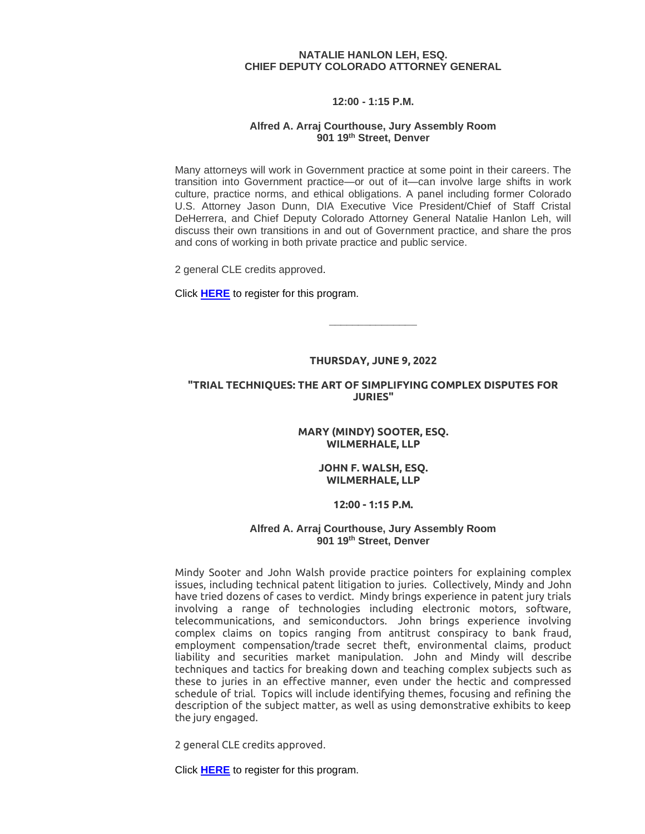#### **NATALIE HANLON LEH, ESQ. CHIEF DEPUTY COLORADO ATTORNEY GENERAL**

#### **12:00 - 1:15 P.M.**

#### **Alfred A. Arraj Courthouse, Jury Assembly Room 901 19th Street, Denver**

Many attorneys will work in Government practice at some point in their careers. The transition into Government practice—or out of it—can involve large shifts in work culture, practice norms, and ethical obligations. A panel including former Colorado U.S. Attorney Jason Dunn, DIA Executive Vice President/Chief of Staff Cristal DeHerrera, and Chief Deputy Colorado Attorney General Natalie Hanlon Leh, will discuss their own transitions in and out of Government practice, and share the pros and cons of working in both private practice and public service.

2 general CLE credits approved.

Click **[HERE](https://www.facultyfederaladvocates.org/event-4764276)** to register for this program.

#### **THURSDAY, JUNE 9, 2022**

**\_\_\_\_\_\_\_\_\_\_\_\_\_\_\_**

#### **"TRIAL TECHNIQUES: THE ART OF SIMPLIFYING COMPLEX DISPUTES FOR JURIES"**

#### **MARY (MINDY) SOOTER, ESQ. WILMERHALE, LLP**

#### **JOHN F. WALSH, ESQ. WILMERHALE, LLP**

#### **12:00 - 1:15 P.M.**

#### **Alfred A. Arraj Courthouse, Jury Assembly Room 901 19th Street, Denver**

Mindy Sooter and John Walsh provide practice pointers for explaining complex issues, including technical patent litigation to juries. Collectively, Mindy and John have tried dozens of cases to verdict. Mindy brings experience in patent jury trials involving a range of technologies including electronic motors, software, telecommunications, and semiconductors. John brings experience involving complex claims on topics ranging from antitrust conspiracy to bank fraud, employment compensation/trade secret theft, environmental claims, product liability and securities market manipulation. John and Mindy will describe techniques and tactics for breaking down and teaching complex subjects such as these to juries in an effective manner, even under the hectic and compressed schedule of trial. Topics will include identifying themes, focusing and refining the description of the subject matter, as well as using demonstrative exhibits to keep the jury engaged.

2 general CLE credits approved.

Click **[HERE](https://www.facultyfederaladvocates.org/event-4825278)** to register for this program.